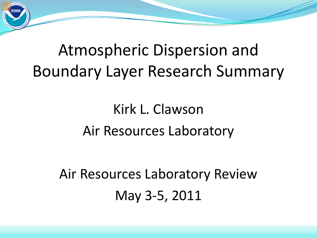# Atmospheric Dispersion and Boundary Layer Research Summary

# Kirk L. Clawson Air Resources Laboratory

Air Resources Laboratory Review May 3-5, 2011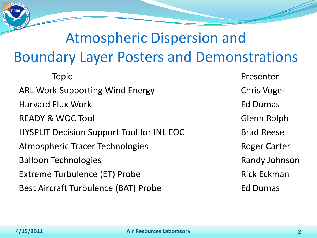# Atmospheric Dispersion and Boundary Layer Posters and Demonstrations

ARL Work Supporting Wind Energy The Chris Vogel Harvard Flux Work **Ed Dumas** READY & WOC Tool Glenn Rolph HYSPLIT Decision Support Tool for INL EOC Brad Reese Atmospheric Tracer Technologies **Roger Carter** Roger Carter Balloon Technologies **Randy Johnson** Balloon Technologies Extreme Turbulence (ET) Probe Rick Eckman Best Aircraft Turbulence (BAT) Probe Fasse Ed Dumas

Topic **Presenter**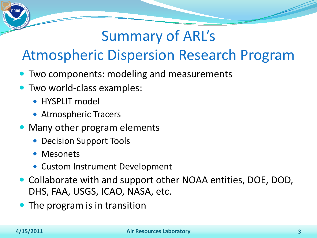## Summary of ARL's

### Atmospheric Dispersion Research Program

- **Two components: modeling and measurements**
- Two world-class examples:
	- HYSPLIT model
	- Atmospheric Tracers
- Many other program elements
	- Decision Support Tools
	- Mesonets
	- Custom Instrument Development
- Collaborate with and support other NOAA entities, DOE, DOD, DHS, FAA, USGS, ICAO, NASA, etc.
- The program is in transition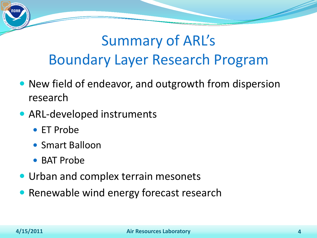## Summary of ARL's Boundary Layer Research Program

- New field of endeavor, and outgrowth from dispersion research
- ARL-developed instruments
	- ET Probe
	- Smart Balloon
	- BAT Probe
- **Urban and complex terrain mesonets**
- Renewable wind energy forecast research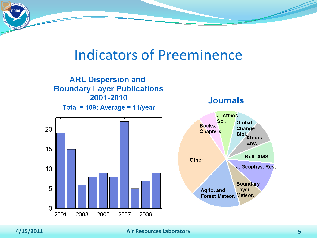### Indicators of Preeminence



**Journals** 



#### **4/15/2011 Air Resources Laboratory 5**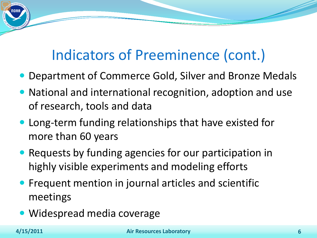### Indicators of Preeminence (cont.)

- Department of Commerce Gold, Silver and Bronze Medals
- National and international recognition, adoption and use of research, tools and data
- Long-term funding relationships that have existed for more than 60 years
- Requests by funding agencies for our participation in highly visible experiments and modeling efforts
- **Frequent mention in journal articles and scientific** meetings
- Widespread media coverage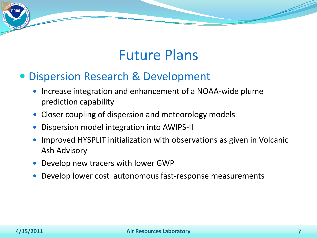### Future Plans

### Dispersion Research & Development

- Increase integration and enhancement of a NOAA-wide plume prediction capability
- Closer coupling of dispersion and meteorology models
- Dispersion model integration into AWIPS-II
- Improved HYSPLIT initialization with observations as given in Volcanic Ash Advisory
- Develop new tracers with lower GWP
- Develop lower cost autonomous fast-response measurements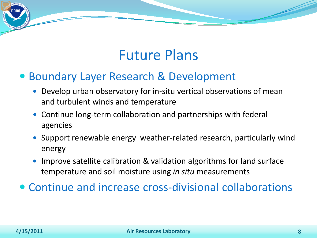### Future Plans

### Boundary Layer Research & Development

- Develop urban observatory for in-situ vertical observations of mean and turbulent winds and temperature
- Continue long-term collaboration and partnerships with federal agencies
- Support renewable energy weather-related research, particularly wind energy
- Improve satellite calibration & validation algorithms for land surface temperature and soil moisture using *in situ* measurements

Continue and increase cross-divisional collaborations